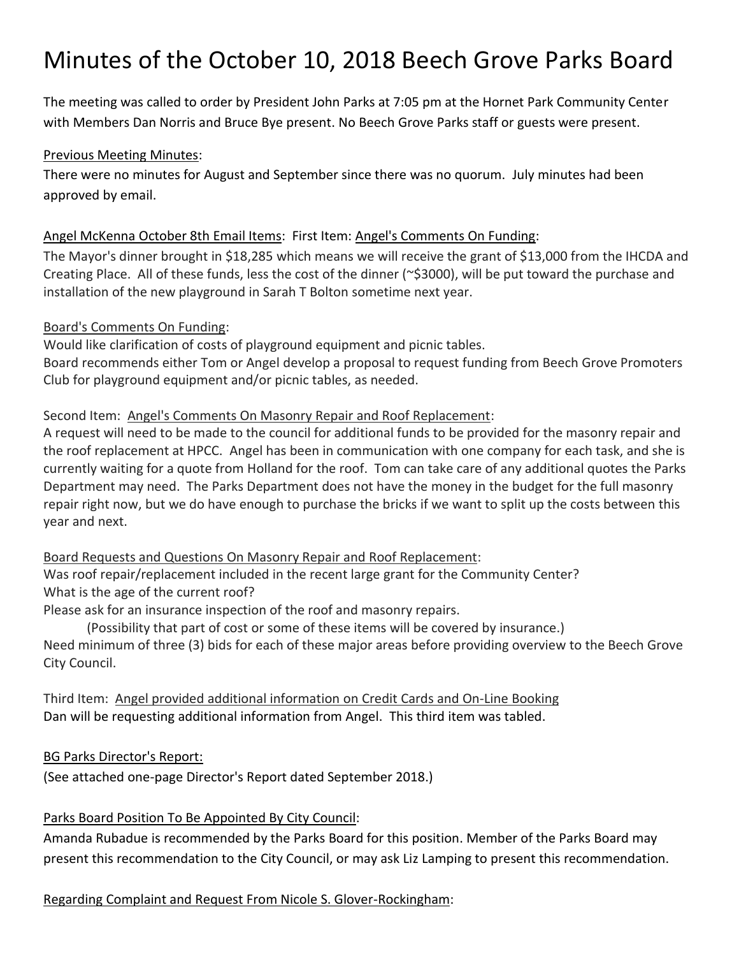# Minutes of the October 10, 2018 Beech Grove Parks Board

The meeting was called to order by President John Parks at 7:05 pm at the Hornet Park Community Center with Members Dan Norris and Bruce Bye present. No Beech Grove Parks staff or guests were present.

#### Previous Meeting Minutes:

There were no minutes for August and September since there was no quorum. July minutes had been approved by email.

#### Angel McKenna October 8th Email Items: First Item: Angel's Comments On Funding:

The Mayor's dinner brought in \$18,285 which means we will receive the grant of \$13,000 from the IHCDA and Creating Place. All of these funds, less the cost of the dinner (~\$3000), will be put toward the purchase and installation of the new playground in Sarah T Bolton sometime next year.

#### Board's Comments On Funding:

Would like clarification of costs of playground equipment and picnic tables. Board recommends either Tom or Angel develop a proposal to request funding from Beech Grove Promoters Club for playground equipment and/or picnic tables, as needed.

#### Second Item: Angel's Comments On Masonry Repair and Roof Replacement:

A request will need to be made to the council for additional funds to be provided for the masonry repair and the roof replacement at HPCC. Angel has been in communication with one company for each task, and she is currently waiting for a quote from Holland for the roof. Tom can take care of any additional quotes the Parks Department may need. The Parks Department does not have the money in the budget for the full masonry repair right now, but we do have enough to purchase the bricks if we want to split up the costs between this year and next.

## Board Requests and Questions On Masonry Repair and Roof Replacement:

Was roof repair/replacement included in the recent large grant for the Community Center? What is the age of the current roof?

Please ask for an insurance inspection of the roof and masonry repairs.

(Possibility that part of cost or some of these items will be covered by insurance.) Need minimum of three (3) bids for each of these major areas before providing overview to the Beech Grove City Council.

Third Item: Angel provided additional information on Credit Cards and On-Line Booking Dan will be requesting additional information from Angel. This third item was tabled.

BG Parks Director's Report:

(See attached one-page Director's Report dated September 2018.)

## Parks Board Position To Be Appointed By City Council:

Amanda Rubadue is recommended by the Parks Board for this position. Member of the Parks Board may present this recommendation to the City Council, or may ask Liz Lamping to present this recommendation.

## Regarding Complaint and Request From Nicole S. Glover-Rockingham: